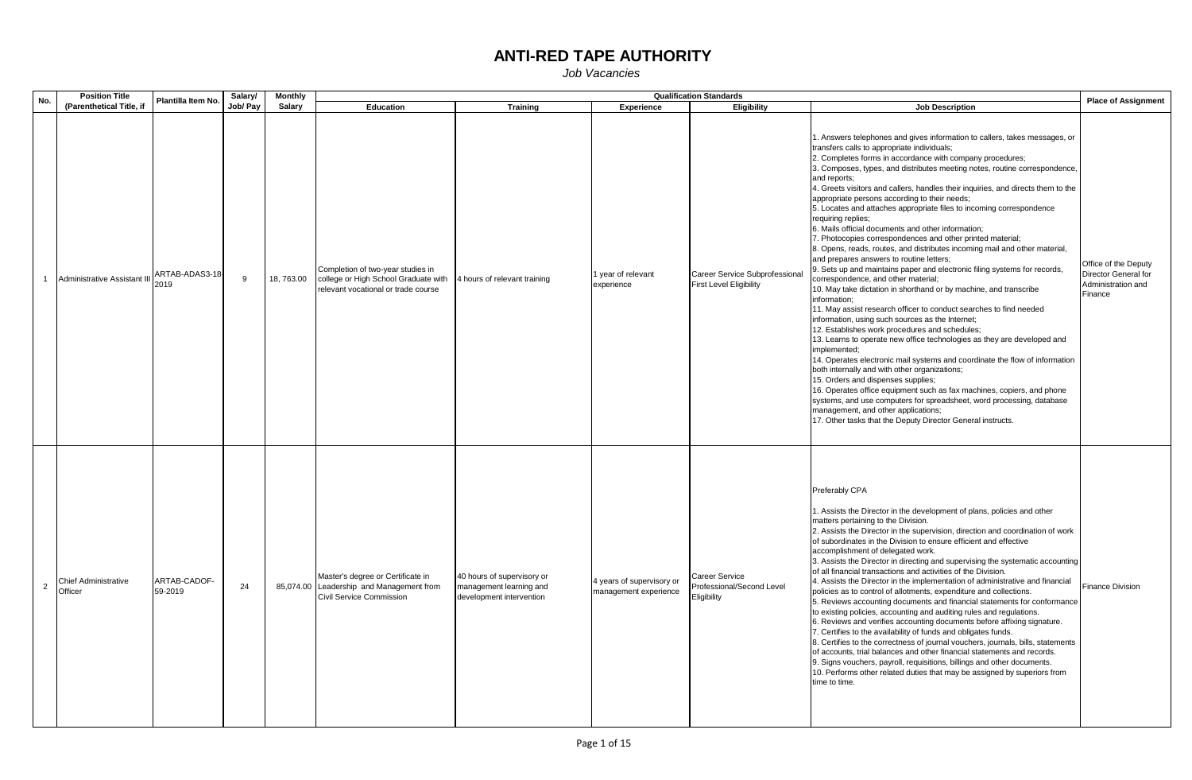| No. |                | <b>Position Title</b>                  | Plantilla Item No.      | Salary/  | Monthly   |                                                                                                                  |                                                                                   |                                                    | <b>Qualification Standards</b>                                   |                                                                                                                                                                                                                                                                                                                                                                                                                                                                                                                                                                                                                                                                                                                                                                                                                                                                                                                                                                                                                                                                                                                                                                                                                                                                                                                                                                                                                                                                                                                                                                                                                                                                                      | <b>Place of Assignment</b>                                                    |
|-----|----------------|----------------------------------------|-------------------------|----------|-----------|------------------------------------------------------------------------------------------------------------------|-----------------------------------------------------------------------------------|----------------------------------------------------|------------------------------------------------------------------|--------------------------------------------------------------------------------------------------------------------------------------------------------------------------------------------------------------------------------------------------------------------------------------------------------------------------------------------------------------------------------------------------------------------------------------------------------------------------------------------------------------------------------------------------------------------------------------------------------------------------------------------------------------------------------------------------------------------------------------------------------------------------------------------------------------------------------------------------------------------------------------------------------------------------------------------------------------------------------------------------------------------------------------------------------------------------------------------------------------------------------------------------------------------------------------------------------------------------------------------------------------------------------------------------------------------------------------------------------------------------------------------------------------------------------------------------------------------------------------------------------------------------------------------------------------------------------------------------------------------------------------------------------------------------------------|-------------------------------------------------------------------------------|
|     |                | (Parenthetical Title, if               |                         | Job/ Pay | Salary    | Education                                                                                                        | <b>Training</b>                                                                   | Experience                                         | <b>Eligibility</b>                                               | <b>Job Description</b>                                                                                                                                                                                                                                                                                                                                                                                                                                                                                                                                                                                                                                                                                                                                                                                                                                                                                                                                                                                                                                                                                                                                                                                                                                                                                                                                                                                                                                                                                                                                                                                                                                                               |                                                                               |
|     |                | Administrative Assistant III           | ARTAB-ADAS3-18<br>2019  | 9        | 18,763.00 | Completion of two-year studies in<br>college or High School Graduate with<br>relevant vocational or trade course | 4 hours of relevant training                                                      | 1 year of relevant<br>experience                   | Career Service Subprofessional<br><b>First Level Eligibility</b> | 1. Answers telephones and gives information to callers, takes messages, or<br>transfers calls to appropriate individuals;<br>2. Completes forms in accordance with company procedures;<br>3. Composes, types, and distributes meeting notes, routine correspondence,<br>and reports:<br>4. Greets visitors and callers, handles their inquiries, and directs them to the<br>appropriate persons according to their needs;<br>5. Locates and attaches appropriate files to incoming correspondence<br>requiring replies;<br>6. Mails official documents and other information;<br>7. Photocopies correspondences and other printed material;<br>8. Opens, reads, routes, and distributes incoming mail and other material,<br>and prepares answers to routine letters;<br>9. Sets up and maintains paper and electronic filing systems for records,<br>correspondence, and other material;<br>10. May take dictation in shorthand or by machine, and transcribe<br>information;<br>11. May assist research officer to conduct searches to find needed<br>information, using such sources as the Internet;<br>12. Establishes work procedures and schedules;<br>13. Learns to operate new office technologies as they are developed and<br>implemented;<br>14. Operates electronic mail systems and coordinate the flow of information<br>both internally and with other organizations;<br>15. Orders and dispenses supplies;<br>16. Operates office equipment such as fax machines, copiers, and phone<br>systems, and use computers for spreadsheet, word processing, database<br>management, and other applications;<br>17. Other tasks that the Deputy Director General instructs. | Office of the Deputy<br>Director General for<br>Administration and<br>Finance |
|     | $\overline{2}$ | <b>Chief Administrative</b><br>Officer | ARTAB-CADOF-<br>59-2019 | 24       |           | Master's degree or Certificate in<br>85,074.00 Leadership and Management from<br>Civil Service Commission        | 40 hours of supervisory or<br>management learning and<br>development intervention | 4 years of supervisory or<br>management experience | Career Service<br>Professional/Second Level<br>Eligibility       | Preferably CPA<br>1. Assists the Director in the development of plans, policies and other<br>matters pertaining to the Division.<br>2. Assists the Director in the supervision, direction and coordination of work<br>of subordinates in the Division to ensure efficient and effective<br>accomplishment of delegated work.<br>3. Assists the Director in directing and supervising the systematic accounting<br>of all financial transactions and activities of the Division.<br>4. Assists the Director in the implementation of administrative and financial<br>policies as to control of allotments, expenditure and collections.<br>5. Reviews accounting documents and financial statements for conformance<br>to existing policies, accounting and auditing rules and regulations.<br>6. Reviews and verifies accounting documents before affixing signature.<br>7. Certifies to the availability of funds and obligates funds.<br>8. Certifies to the correctness of journal vouchers, journals, bills, statements<br>of accounts, trial balances and other financial statements and records.<br>9. Signs vouchers, payroll, requisitions, billings and other documents.<br>10. Performs other related duties that may be assigned by superiors from<br>time to time.                                                                                                                                                                                                                                                                                                                                                                                                       | <b>Finance Division</b>                                                       |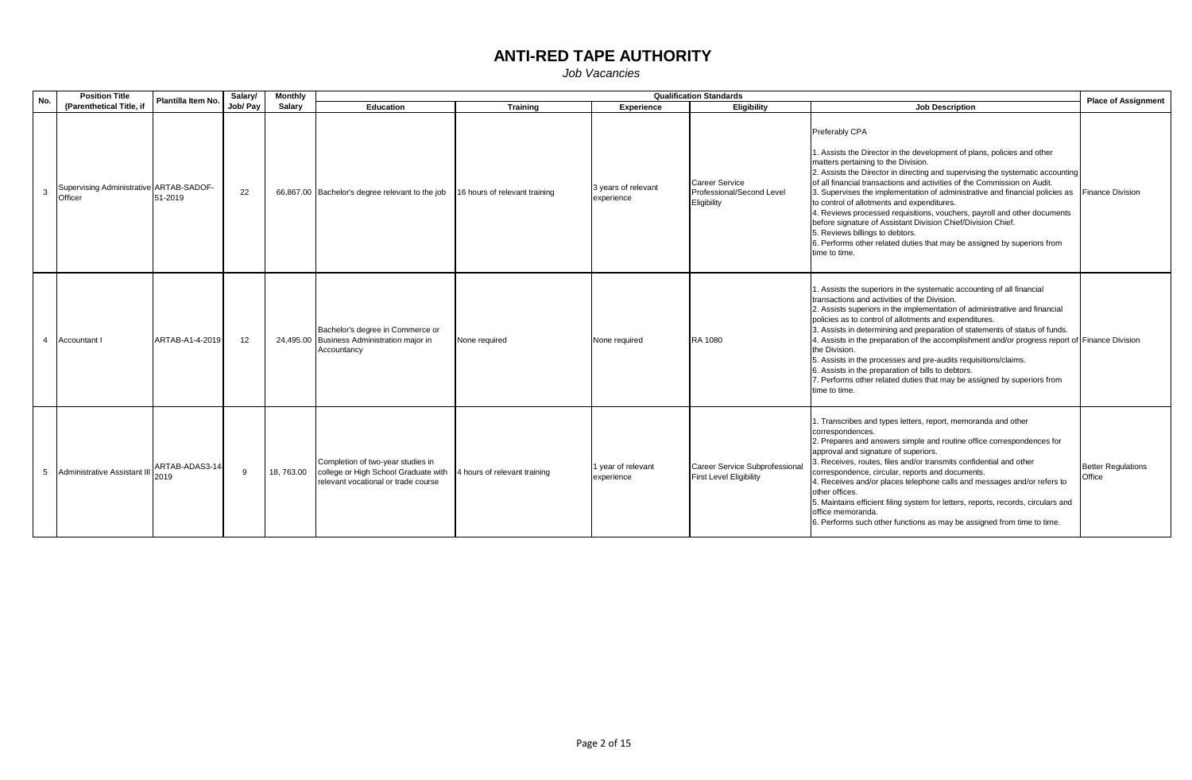| No.            | <b>Position Title</b>                              | Plantilla Item No.     | Salary/  | <b>Monthly</b> |                                                                                                                  |                               |                                   | <b>Qualification Standards</b>                                    |                                                                                                                                                                                                                                                                                                                                                                                                                                                                                                                                                                                                                                                                                                         | <b>Place of Assignment</b>          |
|----------------|----------------------------------------------------|------------------------|----------|----------------|------------------------------------------------------------------------------------------------------------------|-------------------------------|-----------------------------------|-------------------------------------------------------------------|---------------------------------------------------------------------------------------------------------------------------------------------------------------------------------------------------------------------------------------------------------------------------------------------------------------------------------------------------------------------------------------------------------------------------------------------------------------------------------------------------------------------------------------------------------------------------------------------------------------------------------------------------------------------------------------------------------|-------------------------------------|
|                | (Parenthetical Title, if                           |                        | Job/ Pav | Salary         | Education                                                                                                        | <b>Training</b>               | <b>Experience</b>                 | <b>Eligibility</b>                                                | <b>Job Description</b>                                                                                                                                                                                                                                                                                                                                                                                                                                                                                                                                                                                                                                                                                  |                                     |
|                | Supervising Administrative ARTAB-SADOF-<br>Officer | 51-2019                | 22       |                | 66,867.00 Bachelor's degree relevant to the job                                                                  | 16 hours of relevant training | 3 years of relevant<br>experience | <b>Career Service</b><br>Professional/Second Level<br>Eligibility | Preferably CPA<br>1. Assists the Director in the development of plans, policies and other<br>matters pertaining to the Division.<br>2. Assists the Director in directing and supervising the systematic accounting<br>of all financial transactions and activities of the Commission on Audit.<br>3. Supervises the implementation of administrative and financial policies as<br>to control of allotments and expenditures.<br>4. Reviews processed requisitions, vouchers, payroll and other documents<br>before signature of Assistant Division Chief/Division Chief.<br>5. Reviews billings to debtors.<br>6. Performs other related duties that may be assigned by superiors from<br>time to time. | <b>Finance Division</b>             |
| $\overline{4}$ | Accountant                                         | ARTAB-A1-4-2019        | 12       |                | Bachelor's degree in Commerce or<br>24,495.00 Business Administration major in<br>Accountancy                    | None required                 | None required                     | RA 1080                                                           | 1. Assists the superiors in the systematic accounting of all financial<br>transactions and activities of the Division.<br>2. Assists superiors in the implementation of administrative and financial<br>policies as to control of allotments and expenditures.<br>3. Assists in determining and preparation of statements of status of funds.<br>4. Assists in the preparation of the accomplishment and/or progress report of Finance Division<br>the Division.<br>5. Assists in the processes and pre-audits requisitions/claims.<br>6. Assists in the preparation of bills to debtors.<br>7. Performs other related duties that may be assigned by superiors from<br>time to time.                   |                                     |
|                | 5 Administrative Assistant III                     | ARTAB-ADAS3-14<br>2019 | -9       | 18,763.00      | Completion of two-year studies in<br>college or High School Graduate with<br>relevant vocational or trade course | 4 hours of relevant training  | 1 year of relevant<br>experience  | Career Service Subprofessional<br><b>First Level Eligibility</b>  | 1. Transcribes and types letters, report, memoranda and other<br>correspondences.<br>2. Prepares and answers simple and routine office correspondences for<br>approval and signature of superiors.<br>3. Receives, routes, files and/or transmits confidential and other<br>correspondence, circular, reports and documents.<br>4. Receives and/or places telephone calls and messages and/or refers to<br>other offices.<br>5. Maintains efficient filing system for letters, reports, records, circulars and<br>office memoranda.<br>6. Performs such other functions as may be assigned from time to time.                                                                                           | <b>Better Requlations</b><br>Office |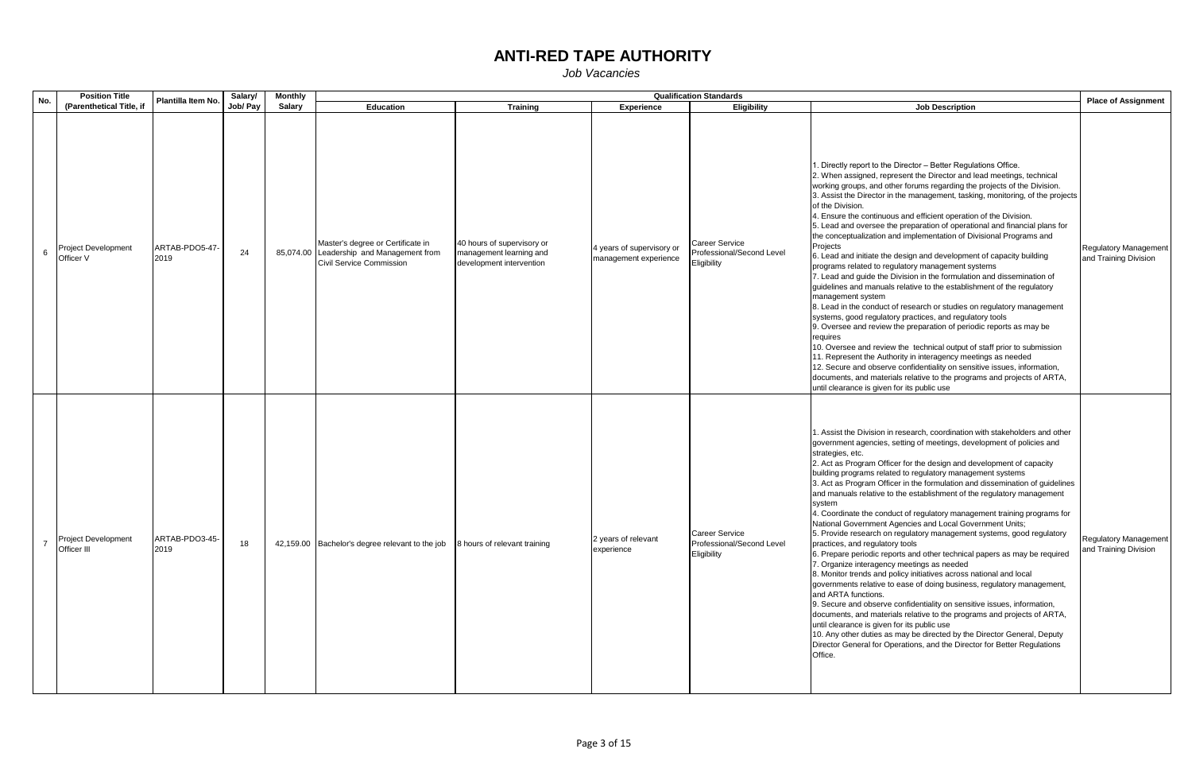| No.            | <b>Position Title</b>              | Plantilla Item No.     | Salary/  | <b>Monthly</b> |                                                                                                           |                                                                                   |                                                    | <b>Qualification Standards</b>                             |                                                                                                                                                                                                                                                                                                                                                                                                                                                                                                                                                                                                                                                                                                                                                                                                                                                                                                                                                                                                                                                                                                                                                                                                                                                                                                                                                                                                                                                   | <b>Place of Assignment</b>                            |
|----------------|------------------------------------|------------------------|----------|----------------|-----------------------------------------------------------------------------------------------------------|-----------------------------------------------------------------------------------|----------------------------------------------------|------------------------------------------------------------|---------------------------------------------------------------------------------------------------------------------------------------------------------------------------------------------------------------------------------------------------------------------------------------------------------------------------------------------------------------------------------------------------------------------------------------------------------------------------------------------------------------------------------------------------------------------------------------------------------------------------------------------------------------------------------------------------------------------------------------------------------------------------------------------------------------------------------------------------------------------------------------------------------------------------------------------------------------------------------------------------------------------------------------------------------------------------------------------------------------------------------------------------------------------------------------------------------------------------------------------------------------------------------------------------------------------------------------------------------------------------------------------------------------------------------------------------|-------------------------------------------------------|
|                | (Parenthetical Title, if           |                        | Job/ Pay | Salary         | Education                                                                                                 | <b>Training</b>                                                                   | <b>Experience</b>                                  | Eligibility                                                | <b>Job Description</b>                                                                                                                                                                                                                                                                                                                                                                                                                                                                                                                                                                                                                                                                                                                                                                                                                                                                                                                                                                                                                                                                                                                                                                                                                                                                                                                                                                                                                            |                                                       |
| 6              | Project Development<br>Officer V   | ARTAB-PDO5-47-<br>2019 | 24       |                | Master's degree or Certificate in<br>85,074.00 Leadership and Management from<br>Civil Service Commission | 40 hours of supervisory or<br>management learning and<br>development intervention | 4 years of supervisory or<br>management experience | Career Service<br>Professional/Second Level<br>Eligibility | . Directly report to the Director - Better Regulations Office.<br>2. When assigned, represent the Director and lead meetings, technical<br>working groups, and other forums regarding the projects of the Division.<br>3. Assist the Director in the management, tasking, monitoring, of the projects<br>of the Division.<br>4. Ensure the continuous and efficient operation of the Division.<br>5. Lead and oversee the preparation of operational and financial plans for<br>the conceptualization and implementation of Divisional Programs and<br>Projects<br>6. Lead and initiate the design and development of capacity building<br>programs related to regulatory management systems<br>7. Lead and guide the Division in the formulation and dissemination of<br>guidelines and manuals relative to the establishment of the regulatory<br>management system<br>8. Lead in the conduct of research or studies on regulatory management<br>systems, good regulatory practices, and regulatory tools<br>9. Oversee and review the preparation of periodic reports as may be<br>requires<br>10. Oversee and review the technical output of staff prior to submission<br>11. Represent the Authority in interagency meetings as needed<br>12. Secure and observe confidentiality on sensitive issues, information,<br>documents, and materials relative to the programs and projects of ARTA,<br>until clearance is given for its public use | <b>Regulatory Management</b><br>and Training Division |
| $\overline{7}$ | Project Development<br>Officer III | ARTAB-PDO3-45-<br>2019 | 18       |                | 42,159.00 Bachelor's degree relevant to the job                                                           | 8 hours of relevant training                                                      | 2 years of relevant<br>experience                  | Career Service<br>Professional/Second Level<br>Eligibility | 1. Assist the Division in research, coordination with stakeholders and other<br>government agencies, setting of meetings, development of policies and<br>strategies, etc.<br>2. Act as Program Officer for the design and development of capacity<br>building programs related to regulatory management systems<br>3. Act as Program Officer in the formulation and dissemination of guidelines<br>and manuals relative to the establishment of the regulatory management<br>system<br>4. Coordinate the conduct of regulatory management training programs for<br>National Government Agencies and Local Government Units;<br>5. Provide research on regulatory management systems, good regulatory<br>practices, and regulatory tools<br>6. Prepare periodic reports and other technical papers as may be required<br>7. Organize interagency meetings as needed<br>8. Monitor trends and policy initiatives across national and local<br>governments relative to ease of doing business, regulatory management,<br>and ARTA functions.<br>9. Secure and observe confidentiality on sensitive issues, information,<br>documents, and materials relative to the programs and projects of ARTA,<br>until clearance is given for its public use<br>10. Any other duties as may be directed by the Director General, Deputy<br>Director General for Operations, and the Director for Better Regulations<br>Office.                                  | Regulatory Management<br>and Training Division        |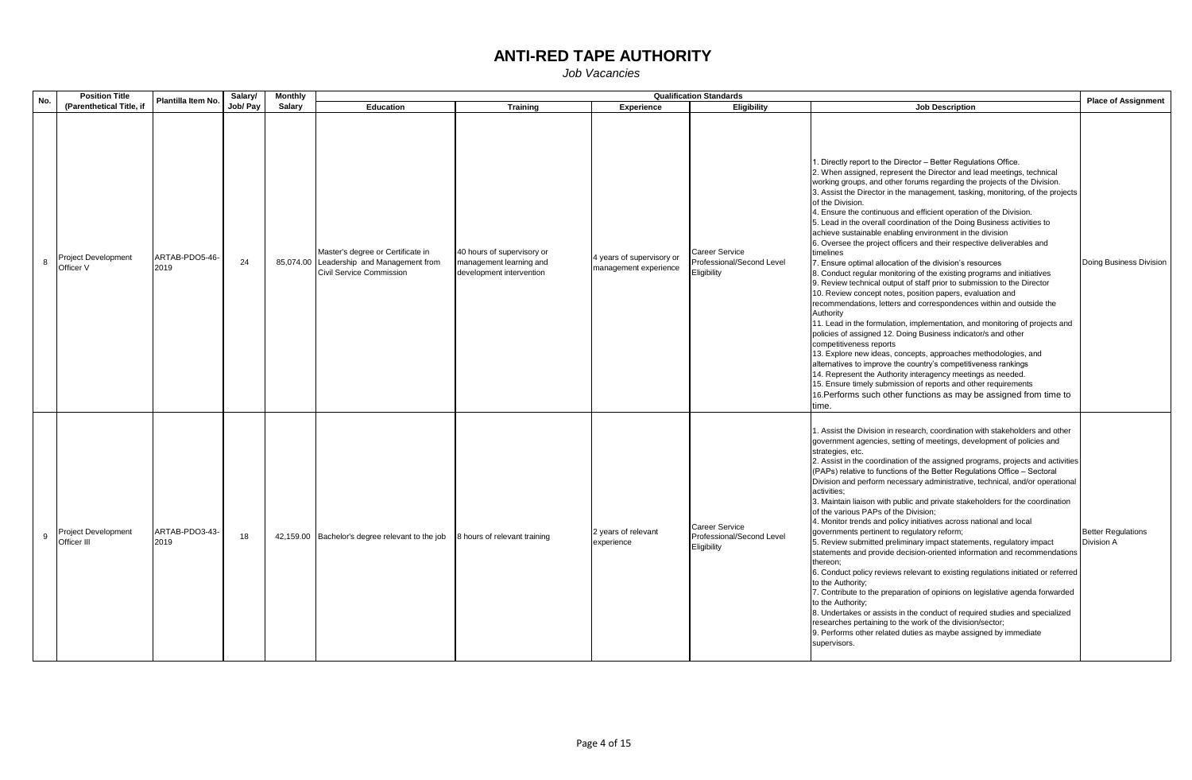| No. | <b>Position Title</b>                     | Plantilla Item No.     | Salary/  | <b>Monthly</b> |                                                                                                           |                                                                                   |                                                    | <b>Qualification Standards</b>                                    |                                                                                                                                                                                                                                                                                                                                                                                                                                                                                                                                                                                                                                                                                                                                                                                                                                                                                                                                                                                                                                                                                                                                                                                                                                                                                                                                                                                                                                                                                                                             | <b>Place of Assignment</b>              |
|-----|-------------------------------------------|------------------------|----------|----------------|-----------------------------------------------------------------------------------------------------------|-----------------------------------------------------------------------------------|----------------------------------------------------|-------------------------------------------------------------------|-----------------------------------------------------------------------------------------------------------------------------------------------------------------------------------------------------------------------------------------------------------------------------------------------------------------------------------------------------------------------------------------------------------------------------------------------------------------------------------------------------------------------------------------------------------------------------------------------------------------------------------------------------------------------------------------------------------------------------------------------------------------------------------------------------------------------------------------------------------------------------------------------------------------------------------------------------------------------------------------------------------------------------------------------------------------------------------------------------------------------------------------------------------------------------------------------------------------------------------------------------------------------------------------------------------------------------------------------------------------------------------------------------------------------------------------------------------------------------------------------------------------------------|-----------------------------------------|
|     | (Parenthetical Title, if                  |                        | Job/ Pay | Salary         | <b>Education</b>                                                                                          | Training                                                                          | Experience                                         | <b>Eligibility</b>                                                | <b>Job Description</b>                                                                                                                                                                                                                                                                                                                                                                                                                                                                                                                                                                                                                                                                                                                                                                                                                                                                                                                                                                                                                                                                                                                                                                                                                                                                                                                                                                                                                                                                                                      |                                         |
| 8   | <b>Project Development</b><br>Officer V   | ARTAB-PDO5-46-<br>2019 | 24       |                | Master's degree or Certificate in<br>85,074.00 Leadership and Management from<br>Civil Service Commission | 40 hours of supervisory or<br>management learning and<br>development intervention | 4 years of supervisory or<br>management experience | Career Service<br>Professional/Second Level<br>Eligibility        | . Directly report to the Director - Better Regulations Office.<br>2. When assigned, represent the Director and lead meetings, technical<br>working groups, and other forums regarding the projects of the Division.<br>3. Assist the Director in the management, tasking, monitoring, of the projects<br>of the Division.<br>4. Ensure the continuous and efficient operation of the Division.<br>5. Lead in the overall coordination of the Doing Business activities to<br>achieve sustainable enabling environment in the division<br>6. Oversee the project officers and their respective deliverables and<br>timelines<br>7. Ensure optimal allocation of the division's resources<br>8. Conduct regular monitoring of the existing programs and initiatives<br>9. Review technical output of staff prior to submission to the Director<br>10. Review concept notes, position papers, evaluation and<br>recommendations, letters and correspondences within and outside the<br>Authority<br>11. Lead in the formulation, implementation, and monitoring of projects and<br>policies of assigned 12. Doing Business indicator/s and other<br>competitiveness reports<br>13. Explore new ideas, concepts, approaches methodologies, and<br>alternatives to improve the country's competitiveness rankings<br>14. Represent the Authority interagency meetings as needed.<br>15. Ensure timely submission of reports and other requirements<br>16. Performs such other functions as may be assigned from time to<br>time. | Doing Business Division                 |
| 9   | <b>Project Development</b><br>Officer III | ARTAB-PDO3-43-<br>2019 | 18       |                | 42,159.00 Bachelor's degree relevant to the job                                                           | 8 hours of relevant training                                                      | 2 years of relevant<br>experience                  | <b>Career Service</b><br>Professional/Second Level<br>Eligibility | 1. Assist the Division in research, coordination with stakeholders and other<br>government agencies, setting of meetings, development of policies and<br>strategies, etc.<br>2. Assist in the coordination of the assigned programs, projects and activities<br>(PAPs) relative to functions of the Better Regulations Office - Sectoral<br>Division and perform necessary administrative, technical, and/or operational<br>activities;<br>3. Maintain liaison with public and private stakeholders for the coordination<br>of the various PAPs of the Division;<br>4. Monitor trends and policy initiatives across national and local<br>governments pertinent to regulatory reform;<br>5. Review submitted preliminary impact statements, regulatory impact<br>statements and provide decision-oriented information and recommendations<br>thereon;<br>6. Conduct policy reviews relevant to existing regulations initiated or referred<br>to the Authority;<br>7. Contribute to the preparation of opinions on legislative agenda forwarded<br>to the Authority;<br>8. Undertakes or assists in the conduct of required studies and specialized<br>researches pertaining to the work of the division/sector;<br>9. Performs other related duties as maybe assigned by immediate<br>supervisors.                                                                                                                                                                                                                          | <b>Better Regulations</b><br>Division A |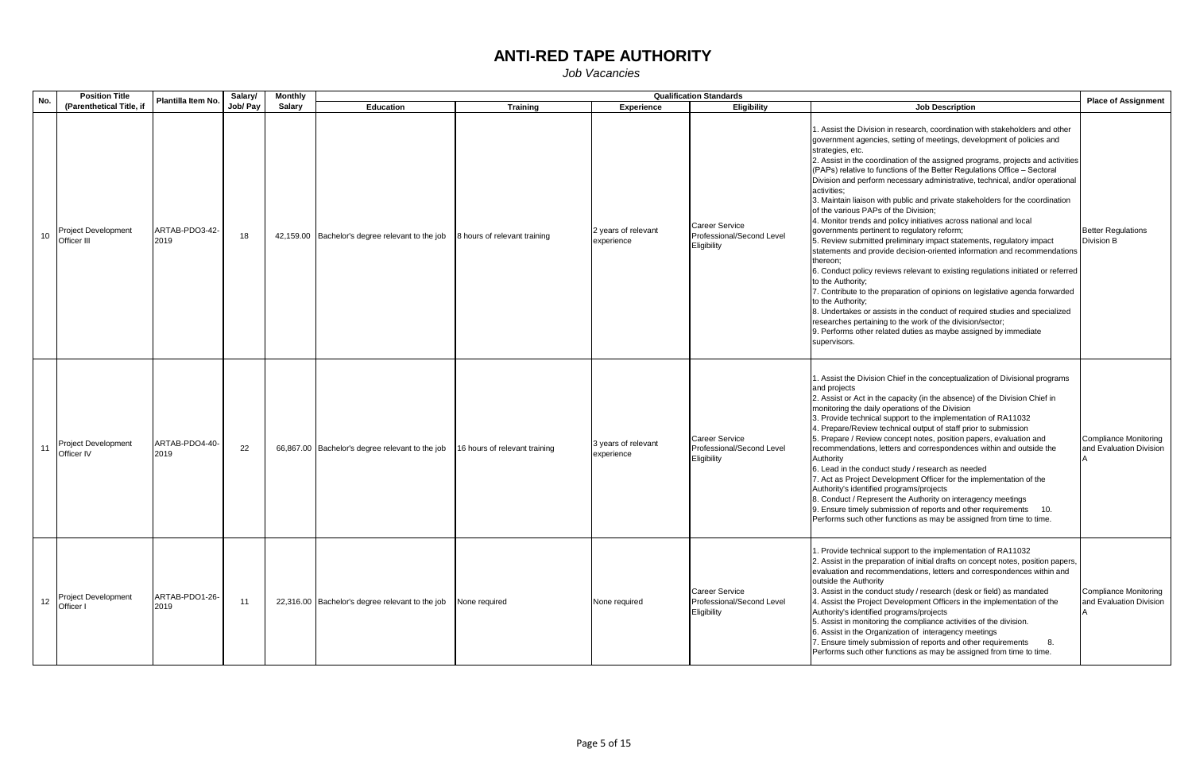| No.  | <b>Position Title</b>                     | Plantilla Item No.     | Salary/  | <b>Monthly</b> |                                                 |                               |                                   | <b>Qualification Standards</b>                                    |                                                                                                                                                                                                                                                                                                                                                                                                                                                                                                                                                                                                                                                                                                                                                                                                                                                                                                                                                                                                                                                                                                                                                                                                                                                                                                    | <b>Place of Assignment</b>                              |
|------|-------------------------------------------|------------------------|----------|----------------|-------------------------------------------------|-------------------------------|-----------------------------------|-------------------------------------------------------------------|----------------------------------------------------------------------------------------------------------------------------------------------------------------------------------------------------------------------------------------------------------------------------------------------------------------------------------------------------------------------------------------------------------------------------------------------------------------------------------------------------------------------------------------------------------------------------------------------------------------------------------------------------------------------------------------------------------------------------------------------------------------------------------------------------------------------------------------------------------------------------------------------------------------------------------------------------------------------------------------------------------------------------------------------------------------------------------------------------------------------------------------------------------------------------------------------------------------------------------------------------------------------------------------------------|---------------------------------------------------------|
|      | (Parenthetical Title, if                  |                        | Job/ Pay | Salary         | <b>Education</b>                                | <b>Training</b>               | <b>Experience</b>                 | Eligibility                                                       | <b>Job Description</b>                                                                                                                                                                                                                                                                                                                                                                                                                                                                                                                                                                                                                                                                                                                                                                                                                                                                                                                                                                                                                                                                                                                                                                                                                                                                             |                                                         |
| $10$ | <b>Project Development</b><br>Officer III | ARTAB-PDO3-42-<br>2019 | 18       |                | 42,159.00 Bachelor's degree relevant to the job | 8 hours of relevant training  | 2 years of relevant<br>experience | Career Service<br>Professional/Second Level<br>Eligibility        | 1. Assist the Division in research, coordination with stakeholders and other<br>government agencies, setting of meetings, development of policies and<br>strategies, etc.<br>2. Assist in the coordination of the assigned programs, projects and activities<br>(PAPs) relative to functions of the Better Regulations Office - Sectoral<br>Division and perform necessary administrative, technical, and/or operational<br>activities:<br>3. Maintain liaison with public and private stakeholders for the coordination<br>of the various PAPs of the Division;<br>4. Monitor trends and policy initiatives across national and local<br>governments pertinent to regulatory reform;<br>5. Review submitted preliminary impact statements, regulatory impact<br>statements and provide decision-oriented information and recommendations<br>thereon;<br>6. Conduct policy reviews relevant to existing regulations initiated or referred<br>to the Authority;<br>7. Contribute to the preparation of opinions on legislative agenda forwarded<br>to the Authority;<br>8. Undertakes or assists in the conduct of required studies and specialized<br>researches pertaining to the work of the division/sector;<br>9. Performs other related duties as maybe assigned by immediate<br>supervisors. | <b>Better Requlations</b><br>Division B                 |
| 11   | <b>Project Development</b><br>Officer IV  | ARTAB-PDO4-40-<br>2019 | 22       |                | 66,867.00 Bachelor's degree relevant to the job | 16 hours of relevant training | 3 years of relevant<br>experience | <b>Career Service</b><br>Professional/Second Level<br>Eligibility | 1. Assist the Division Chief in the conceptualization of Divisional programs<br>and projects<br>2. Assist or Act in the capacity (in the absence) of the Division Chief in<br>monitoring the daily operations of the Division<br>3. Provide technical support to the implementation of RA11032<br>4. Prepare/Review technical output of staff prior to submission<br>5. Prepare / Review concept notes, position papers, evaluation and<br>recommendations, letters and correspondences within and outside the<br>Authority<br>6. Lead in the conduct study / research as needed<br>7. Act as Project Development Officer for the implementation of the<br>Authority's identified programs/projects<br>8. Conduct / Represent the Authority on interagency meetings<br>9. Ensure timely submission of reports and other requirements 10.<br>Performs such other functions as may be assigned from time to time.                                                                                                                                                                                                                                                                                                                                                                                    | Compliance Monitoring<br>and Evaluation Division        |
| 12   | Project Development<br>Officer I          | ARTAB-PDO1-26-<br>2019 | 11       |                | 22,316.00 Bachelor's degree relevant to the job | None required                 | None required                     | <b>Career Service</b><br>Professional/Second Level<br>Eligibility | 1. Provide technical support to the implementation of RA11032<br>2. Assist in the preparation of initial drafts on concept notes, position papers,<br>evaluation and recommendations, letters and correspondences within and<br>outside the Authority<br>3. Assist in the conduct study / research (desk or field) as mandated<br>4. Assist the Project Development Officers in the implementation of the<br>Authority's identified programs/projects<br>5. Assist in monitoring the compliance activities of the division.<br>6. Assist in the Organization of interagency meetings<br>7. Ensure timely submission of reports and other requirements<br>Performs such other functions as may be assigned from time to time.                                                                                                                                                                                                                                                                                                                                                                                                                                                                                                                                                                       | <b>Compliance Monitoring</b><br>and Evaluation Division |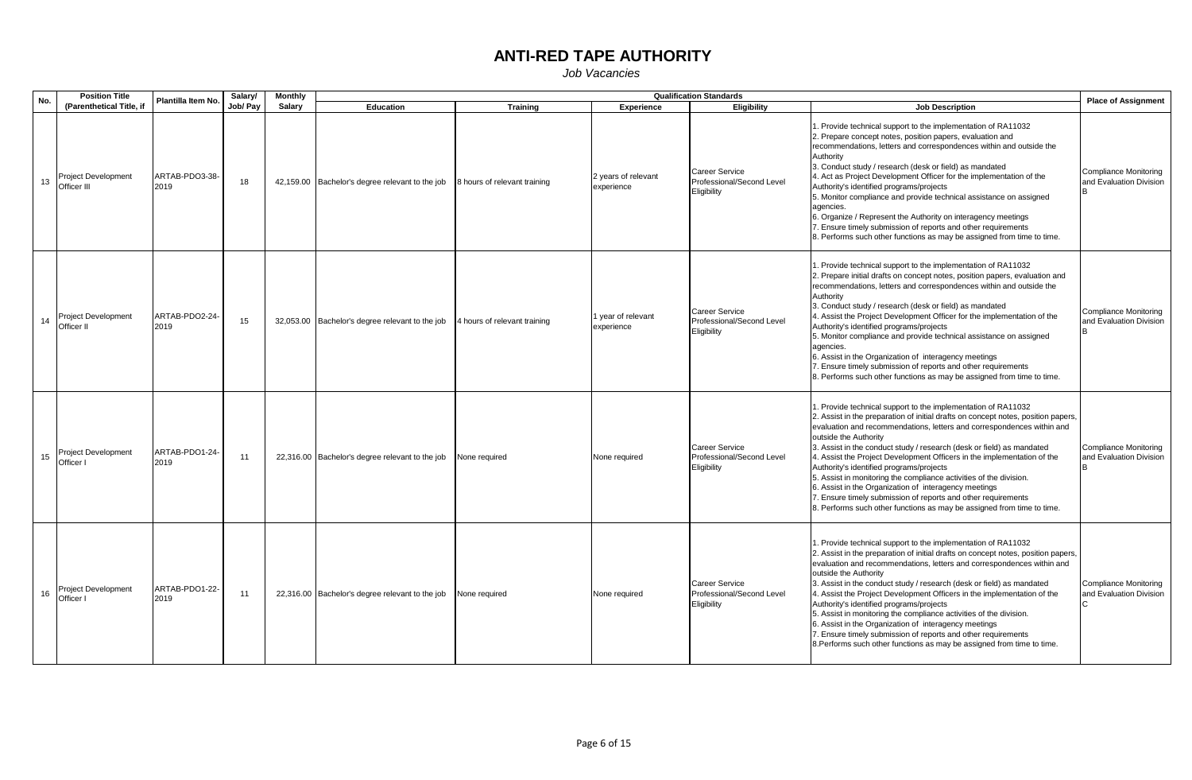| No. | <b>Position Title</b>                     | Plantilla Item No.     | Salary/  | <b>Monthly</b> |                                                 |                              |                                   | <b>Qualification Standards</b>                                    |                                                                                                                                                                                                                                                                                                                                                                                                                                                                                                                                                                                                                                                                                                                                | <b>Place of Assignment</b>                              |
|-----|-------------------------------------------|------------------------|----------|----------------|-------------------------------------------------|------------------------------|-----------------------------------|-------------------------------------------------------------------|--------------------------------------------------------------------------------------------------------------------------------------------------------------------------------------------------------------------------------------------------------------------------------------------------------------------------------------------------------------------------------------------------------------------------------------------------------------------------------------------------------------------------------------------------------------------------------------------------------------------------------------------------------------------------------------------------------------------------------|---------------------------------------------------------|
|     | (Parenthetical Title, if                  |                        | Job/ Pay | Salary         | <b>Education</b>                                | <b>Training</b>              | <b>Experience</b>                 | Eligibility                                                       | <b>Job Description</b>                                                                                                                                                                                                                                                                                                                                                                                                                                                                                                                                                                                                                                                                                                         |                                                         |
| 13  | <b>Project Development</b><br>Officer III | ARTAB-PDO3-38-<br>2019 | 18       |                | 42,159.00 Bachelor's degree relevant to the job | 8 hours of relevant training | 2 years of relevant<br>experience | Career Service<br>Professional/Second Level<br>Eligibility        | Provide technical support to the implementation of RA11032<br>2. Prepare concept notes, position papers, evaluation and<br>recommendations, letters and correspondences within and outside the<br>Authority<br>3. Conduct study / research (desk or field) as mandated<br>4. Act as Project Development Officer for the implementation of the<br>Authority's identified programs/projects<br>5. Monitor compliance and provide technical assistance on assigned<br>agencies.<br>6. Organize / Represent the Authority on interagency meetings<br>7. Ensure timely submission of reports and other requirements<br>8. Performs such other functions as may be assigned from time to time.                                       | Compliance Monitoring<br>and Evaluation Division        |
| 14  | <b>Project Development</b><br>Officer II  | ARTAB-PDO2-24-<br>2019 | 15       |                | 32,053.00 Bachelor's degree relevant to the job | 4 hours of relevant training | 1 year of relevant<br>experience  | Career Service<br>Professional/Second Level<br>Eligibility        | . Provide technical support to the implementation of RA11032<br>2. Prepare initial drafts on concept notes, position papers, evaluation and<br>recommendations, letters and correspondences within and outside the<br>Authority<br>3. Conduct study / research (desk or field) as mandated<br>4. Assist the Project Development Officer for the implementation of the<br>Authority's identified programs/projects<br>5. Monitor compliance and provide technical assistance on assigned<br>agencies.<br>6. Assist in the Organization of interagency meetings<br>7. Ensure timely submission of reports and other requirements<br>8. Performs such other functions as may be assigned from time to time.                       | <b>Compliance Monitoring</b><br>and Evaluation Division |
| 15  | Project Development<br>Officer I          | ARTAB-PDO1-24-<br>2019 | 11       |                | 22,316.00 Bachelor's degree relevant to the job | None required                | None required                     | <b>Career Service</b><br>Professional/Second Level<br>Eligibility | . Provide technical support to the implementation of RA11032<br>2. Assist in the preparation of initial drafts on concept notes, position papers,<br>evaluation and recommendations, letters and correspondences within and<br>outside the Authority<br>3. Assist in the conduct study / research (desk or field) as mandated<br>4. Assist the Project Development Officers in the implementation of the<br>Authority's identified programs/projects<br>5. Assist in monitoring the compliance activities of the division.<br>6. Assist in the Organization of interagency meetings<br>7. Ensure timely submission of reports and other requirements<br>8. Performs such other functions as may be assigned from time to time. | <b>Compliance Monitoring</b><br>and Evaluation Division |
| 16  | Project Development<br>Officer I          | ARTAB-PDO1-22-<br>2019 | 11       |                | 22,316.00 Bachelor's degree relevant to the job | None required                | None required                     | Career Service<br>Professional/Second Level<br>Eligibility        | . Provide technical support to the implementation of RA11032<br>2. Assist in the preparation of initial drafts on concept notes, position papers,<br>evaluation and recommendations, letters and correspondences within and<br>outside the Authority<br>3. Assist in the conduct study / research (desk or field) as mandated<br>4. Assist the Project Development Officers in the implementation of the<br>Authority's identified programs/projects<br>5. Assist in monitoring the compliance activities of the division.<br>6. Assist in the Organization of interagency meetings<br>7. Ensure timely submission of reports and other requirements<br>8. Performs such other functions as may be assigned from time to time. | <b>Compliance Monitoring</b><br>and Evaluation Division |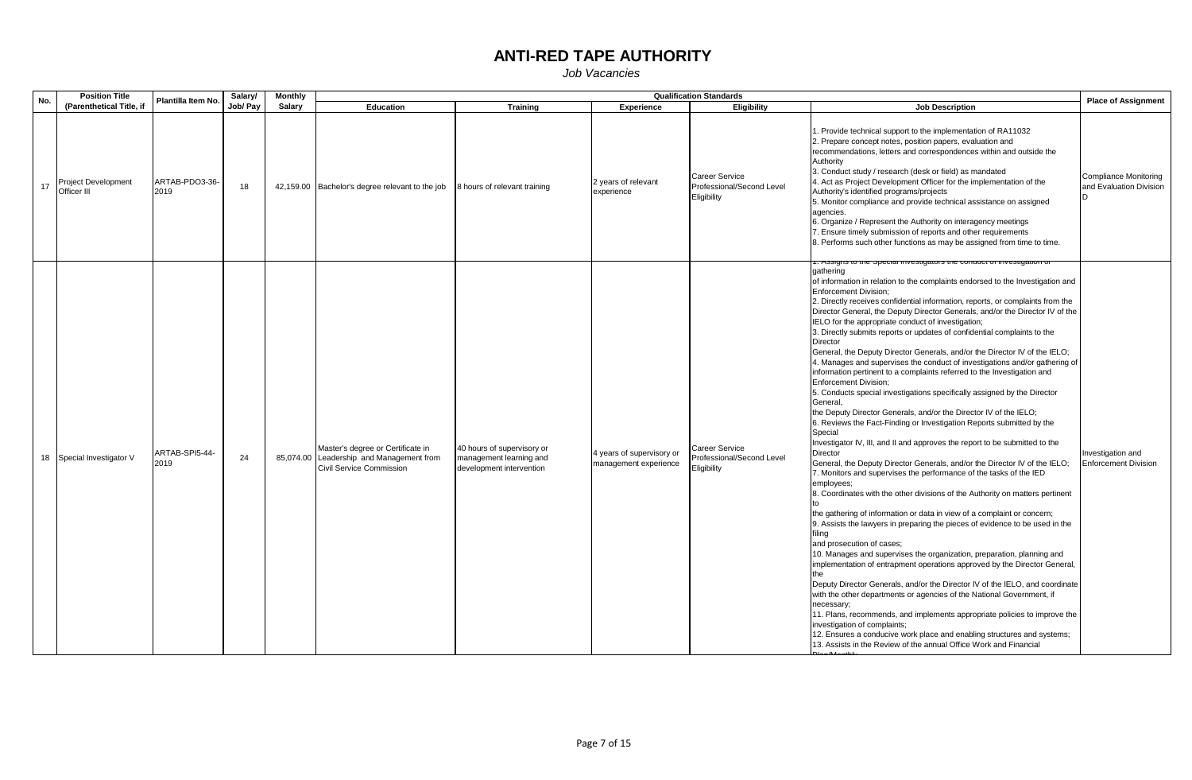| No. | <b>Position Title</b>                     | Plantilla Item No.     | Salary/  | <b>Monthly</b> |                                                                                                           |                                                                                   |                                                    | <b>Qualification Standards</b>                                    |                                                                                                                                                                                                                                                                                                                                                                                                                                                                                                                                                                                                                                                                                                                                                                                                                                                                                                                                                                                                                                                                                                                                                                                                                                                                                                                                                                                                                                                                                                                                                                                                                                                                                                                                                                                                                                                                                                                                                                                                                                                                                                                                                                                                | <b>Place of Assignment</b>                              |
|-----|-------------------------------------------|------------------------|----------|----------------|-----------------------------------------------------------------------------------------------------------|-----------------------------------------------------------------------------------|----------------------------------------------------|-------------------------------------------------------------------|------------------------------------------------------------------------------------------------------------------------------------------------------------------------------------------------------------------------------------------------------------------------------------------------------------------------------------------------------------------------------------------------------------------------------------------------------------------------------------------------------------------------------------------------------------------------------------------------------------------------------------------------------------------------------------------------------------------------------------------------------------------------------------------------------------------------------------------------------------------------------------------------------------------------------------------------------------------------------------------------------------------------------------------------------------------------------------------------------------------------------------------------------------------------------------------------------------------------------------------------------------------------------------------------------------------------------------------------------------------------------------------------------------------------------------------------------------------------------------------------------------------------------------------------------------------------------------------------------------------------------------------------------------------------------------------------------------------------------------------------------------------------------------------------------------------------------------------------------------------------------------------------------------------------------------------------------------------------------------------------------------------------------------------------------------------------------------------------------------------------------------------------------------------------------------------------|---------------------------------------------------------|
|     | (Parenthetical Title, if                  |                        | Job/ Pay | Salary         | <b>Education</b>                                                                                          | <b>Training</b>                                                                   | Experience                                         | <b>Eligibility</b>                                                | <b>Job Description</b>                                                                                                                                                                                                                                                                                                                                                                                                                                                                                                                                                                                                                                                                                                                                                                                                                                                                                                                                                                                                                                                                                                                                                                                                                                                                                                                                                                                                                                                                                                                                                                                                                                                                                                                                                                                                                                                                                                                                                                                                                                                                                                                                                                         |                                                         |
| 17  | <b>Project Development</b><br>Officer III | ARTAB-PDO3-36-<br>2019 | 18       |                | 42,159.00 Bachelor's degree relevant to the job                                                           | 8 hours of relevant training                                                      | 2 years of relevant<br>experience                  | <b>Career Service</b><br>Professional/Second Level<br>Eligibility | 1. Provide technical support to the implementation of RA11032<br>2. Prepare concept notes, position papers, evaluation and<br>recommendations, letters and correspondences within and outside the<br>Authority<br>3. Conduct study / research (desk or field) as mandated<br>4. Act as Project Development Officer for the implementation of the<br>Authority's identified programs/projects<br>5. Monitor compliance and provide technical assistance on assigned<br>agencies.<br>6. Organize / Represent the Authority on interagency meetings<br>. Ensure timely submission of reports and other requirements<br>8. Performs such other functions as may be assigned from time to time.                                                                                                                                                                                                                                                                                                                                                                                                                                                                                                                                                                                                                                                                                                                                                                                                                                                                                                                                                                                                                                                                                                                                                                                                                                                                                                                                                                                                                                                                                                     | <b>Compliance Monitoring</b><br>and Evaluation Division |
|     | 18 Special Investigator V                 | ARTAB-SPI5-44-<br>2019 | 24       |                | Master's degree or Certificate in<br>85,074.00 Leadership and Management from<br>Civil Service Commission | 40 hours of supervisory or<br>management learning and<br>development intervention | 4 years of supervisory or<br>management experience | Career Service<br>Professional/Second Level<br>Eligibility        | Assigns to the opecial investigators the conduct of investigation t<br>qathering<br>of information in relation to the complaints endorsed to the Investigation and<br><b>Enforcement Division;</b><br>2. Directly receives confidential information, reports, or complaints from the<br>Director General, the Deputy Director Generals, and/or the Director IV of the<br>IELO for the appropriate conduct of investigation;<br>3. Directly submits reports or updates of confidential complaints to the<br><b>Director</b><br>General, the Deputy Director Generals, and/or the Director IV of the IELO;<br>4. Manages and supervises the conduct of investigations and/or gathering of<br>information pertinent to a complaints referred to the Investigation and<br>Enforcement Division;<br>5. Conducts special investigations specifically assigned by the Director<br>General.<br>the Deputy Director Generals, and/or the Director IV of the IELO;<br>6. Reviews the Fact-Finding or Investigation Reports submitted by the<br>Special<br>Investigator IV, III, and II and approves the report to be submitted to the<br>Director<br>General, the Deputy Director Generals, and/or the Director IV of the IELO;<br>7. Monitors and supervises the performance of the tasks of the IED<br>employees;<br>8. Coordinates with the other divisions of the Authority on matters pertinent<br>the gathering of information or data in view of a complaint or concern;<br>9. Assists the lawyers in preparing the pieces of evidence to be used in the<br>filing<br>and prosecution of cases;<br>10. Manages and supervises the organization, preparation, planning and<br>implementation of entrapment operations approved by the Director General,<br>the<br>Deputy Director Generals, and/or the Director IV of the IELO, and coordinate<br>with the other departments or agencies of the National Government, if<br>necessary;<br>11. Plans, recommends, and implements appropriate policies to improve the<br>investigation of complaints;<br>12. Ensures a conducive work place and enabling structures and systems;<br>13. Assists in the Review of the annual Office Work and Financial | Investigation and<br><b>Enforcement Division</b>        |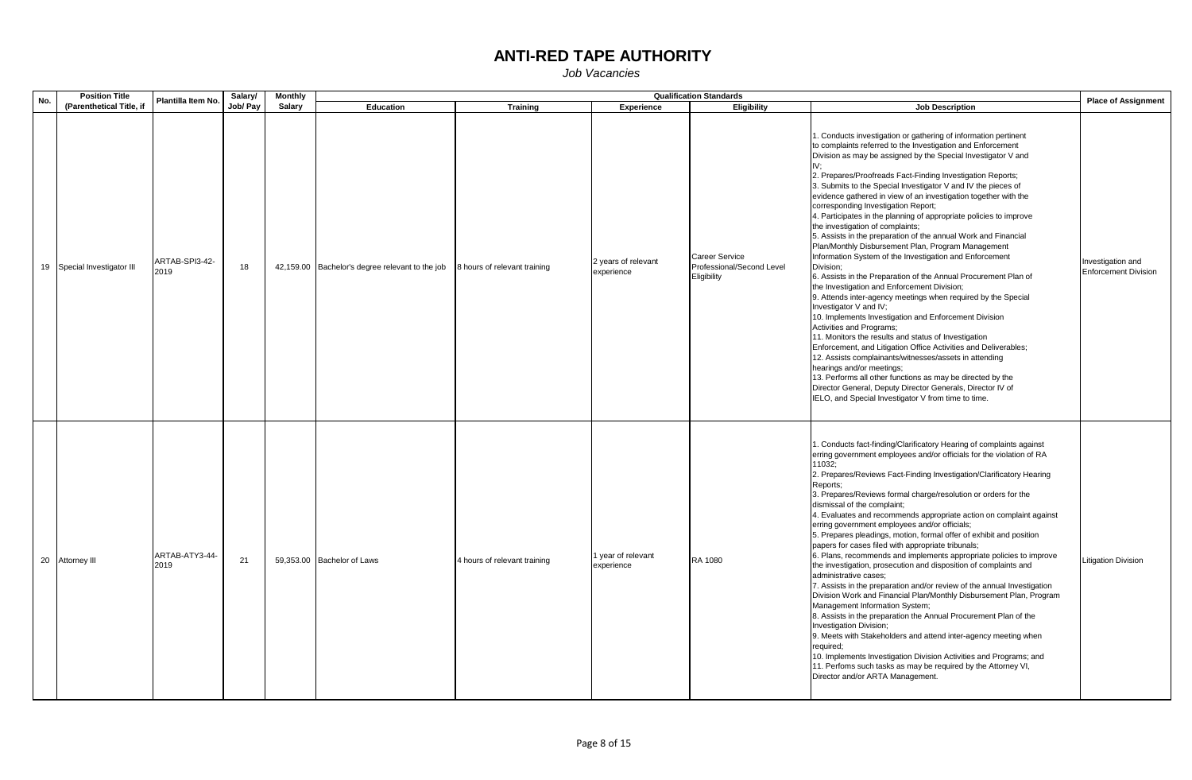| No. |                 | <b>Position Title</b>       | Plantilla Item No.     | Salary/  | <b>Monthly</b> |                                                 |                              |                                   | <b>Qualification Standards</b>                             |                                                                                                                                                                                                                                                                                                                                                                                                                                                                                                                                                                                                                                                                                                                                                                                                                                                                                                                                                                                                                                                                                                                                                                                                                                                                                                                                                                                                                                                           | <b>Place of Assignment</b>                       |
|-----|-----------------|-----------------------------|------------------------|----------|----------------|-------------------------------------------------|------------------------------|-----------------------------------|------------------------------------------------------------|-----------------------------------------------------------------------------------------------------------------------------------------------------------------------------------------------------------------------------------------------------------------------------------------------------------------------------------------------------------------------------------------------------------------------------------------------------------------------------------------------------------------------------------------------------------------------------------------------------------------------------------------------------------------------------------------------------------------------------------------------------------------------------------------------------------------------------------------------------------------------------------------------------------------------------------------------------------------------------------------------------------------------------------------------------------------------------------------------------------------------------------------------------------------------------------------------------------------------------------------------------------------------------------------------------------------------------------------------------------------------------------------------------------------------------------------------------------|--------------------------------------------------|
|     |                 | (Parenthetical Title, if    |                        | Job/ Pay | Salary         | Education                                       | <b>Training</b>              | <b>Experience</b>                 | Eligibility                                                | <b>Job Description</b>                                                                                                                                                                                                                                                                                                                                                                                                                                                                                                                                                                                                                                                                                                                                                                                                                                                                                                                                                                                                                                                                                                                                                                                                                                                                                                                                                                                                                                    |                                                  |
|     |                 | 19 Special Investigator III | ARTAB-SPI3-42-<br>2019 | 18       |                | 42,159.00 Bachelor's degree relevant to the job | 8 hours of relevant training | 2 years of relevant<br>experience | Career Service<br>Professional/Second Level<br>Eligibility | 1. Conducts investigation or gathering of information pertinent<br>to complaints referred to the Investigation and Enforcement<br>Division as may be assigned by the Special Investigator V and<br>2. Prepares/Proofreads Fact-Finding Investigation Reports;<br>3. Submits to the Special Investigator V and IV the pieces of<br>evidence gathered in view of an investigation together with the<br>corresponding Investigation Report;<br>4. Participates in the planning of appropriate policies to improve<br>the investigation of complaints;<br>5. Assists in the preparation of the annual Work and Financial<br>Plan/Monthly Disbursement Plan, Program Management<br>Information System of the Investigation and Enforcement<br>Division;<br>6. Assists in the Preparation of the Annual Procurement Plan of<br>the Investigation and Enforcement Division:<br>9. Attends inter-agency meetings when required by the Special<br>Investigator V and IV;<br>10. Implements Investigation and Enforcement Division<br>Activities and Programs;<br>11. Monitors the results and status of Investigation<br>Enforcement, and Litigation Office Activities and Deliverables;<br>12. Assists complainants/witnesses/assets in attending<br>hearings and/or meetings;<br>13. Performs all other functions as may be directed by the<br>Director General, Deputy Director Generals, Director IV of<br>IELO, and Special Investigator V from time to time. | Investigation and<br><b>Enforcement Division</b> |
|     | 20 Attorney III |                             | ARTAB-ATY3-44-<br>2019 | 21       |                | 59,353.00 Bachelor of Laws                      | 4 hours of relevant training | 1 year of relevant<br>experience  | RA 1080                                                    | 1. Conducts fact-finding/Clarificatory Hearing of complaints against<br>erring government employees and/or officials for the violation of RA<br>11032;<br>2. Prepares/Reviews Fact-Finding Investigation/Clarificatory Hearing<br>Reports;<br>3. Prepares/Reviews formal charge/resolution or orders for the<br>dismissal of the complaint;<br>4. Evaluates and recommends appropriate action on complaint against<br>erring government employees and/or officials;<br>5. Prepares pleadings, motion, formal offer of exhibit and position<br>papers for cases filed with appropriate tribunals;<br>6. Plans, recommends and implements appropriate policies to improve<br>the investigation, prosecution and disposition of complaints and<br>administrative cases:<br>7. Assists in the preparation and/or review of the annual Investigation<br>Division Work and Financial Plan/Monthly Disbursement Plan, Program<br>Management Information System;<br>8. Assists in the preparation the Annual Procurement Plan of the<br>Investigation Division;<br>9. Meets with Stakeholders and attend inter-agency meeting when<br>required;<br>10. Implements Investigation Division Activities and Programs; and<br>11. Perfoms such tasks as may be required by the Attorney VI,<br>Director and/or ARTA Management.                                                                                                                                        | <b>Litigation Division</b>                       |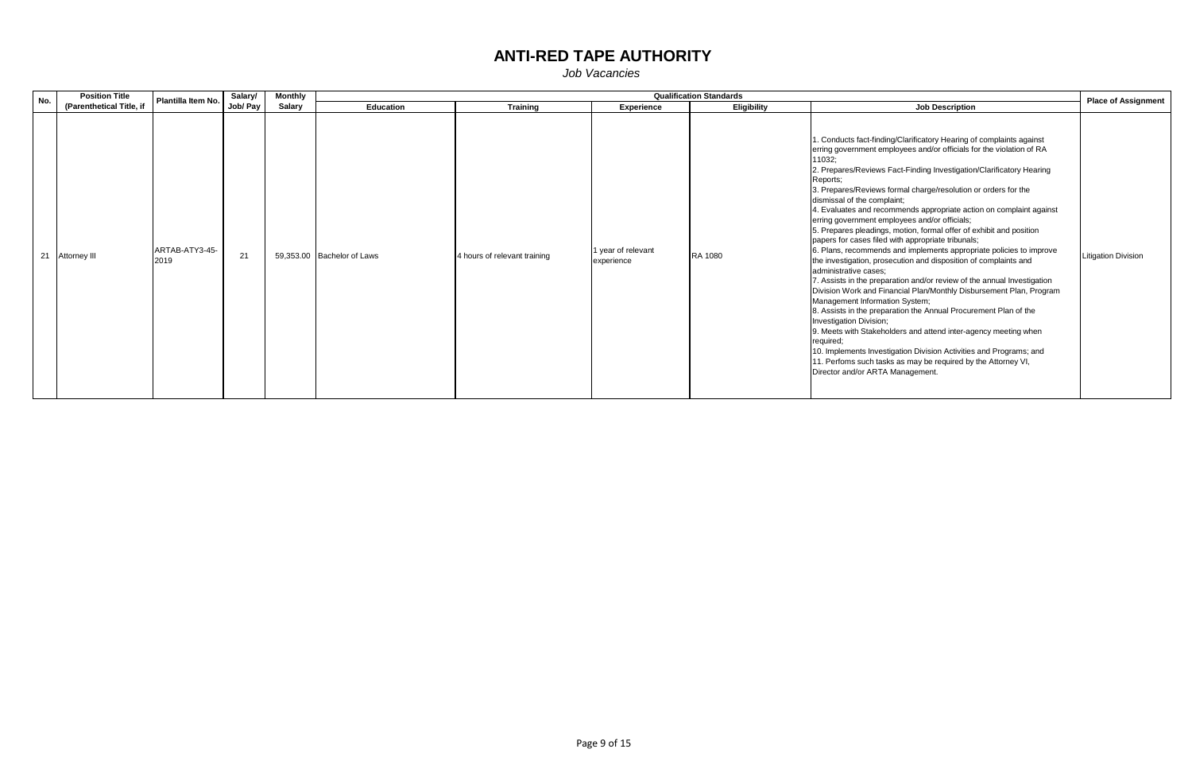| No. | <b>Position Title</b>    | Plantilla Item No.     | Salary/  | <b>Monthly</b> |                            |                              |                                  | <b>Qualification Standards</b> |                                                                                                                                                                                                                                                                                                                                                                                                                                                                                                                                                                                                                                                                                                                                                                                                                                                                                                                                                                                                                                                                                                                                                                                                                                                                                                                    | <b>Place of Assignment</b> |
|-----|--------------------------|------------------------|----------|----------------|----------------------------|------------------------------|----------------------------------|--------------------------------|--------------------------------------------------------------------------------------------------------------------------------------------------------------------------------------------------------------------------------------------------------------------------------------------------------------------------------------------------------------------------------------------------------------------------------------------------------------------------------------------------------------------------------------------------------------------------------------------------------------------------------------------------------------------------------------------------------------------------------------------------------------------------------------------------------------------------------------------------------------------------------------------------------------------------------------------------------------------------------------------------------------------------------------------------------------------------------------------------------------------------------------------------------------------------------------------------------------------------------------------------------------------------------------------------------------------|----------------------------|
|     | (Parenthetical Title, if |                        | Job/ Pay | Salary         | Education                  | <b>Training</b>              | <b>Experience</b>                | <b>Eligibility</b>             | <b>Job Description</b>                                                                                                                                                                                                                                                                                                                                                                                                                                                                                                                                                                                                                                                                                                                                                                                                                                                                                                                                                                                                                                                                                                                                                                                                                                                                                             |                            |
|     | 21 Attorney III          | ARTAB-ATY3-45-<br>2019 | 21       |                | 59.353.00 Bachelor of Laws | 4 hours of relevant training | 1 year of relevant<br>experience | RA 1080                        | 1. Conducts fact-finding/Clarificatory Hearing of complaints against<br>erring government employees and/or officials for the violation of RA<br>11032:<br>2. Prepares/Reviews Fact-Finding Investigation/Clarificatory Hearing<br>Reports:<br>3. Prepares/Reviews formal charge/resolution or orders for the<br>dismissal of the complaint;<br>4. Evaluates and recommends appropriate action on complaint against<br>erring government employees and/or officials;<br>5. Prepares pleadings, motion, formal offer of exhibit and position<br>papers for cases filed with appropriate tribunals;<br>6. Plans, recommends and implements appropriate policies to improve<br>the investigation, prosecution and disposition of complaints and<br>administrative cases:<br>7. Assists in the preparation and/or review of the annual Investigation<br>Division Work and Financial Plan/Monthly Disbursement Plan, Program<br>Management Information System;<br>8. Assists in the preparation the Annual Procurement Plan of the<br>Investigation Division;<br>9. Meets with Stakeholders and attend inter-agency meeting when<br>required:<br>10. Implements Investigation Division Activities and Programs; and<br>11. Perfoms such tasks as may be required by the Attorney VI,<br>Director and/or ARTA Management. | <b>Litigation Division</b> |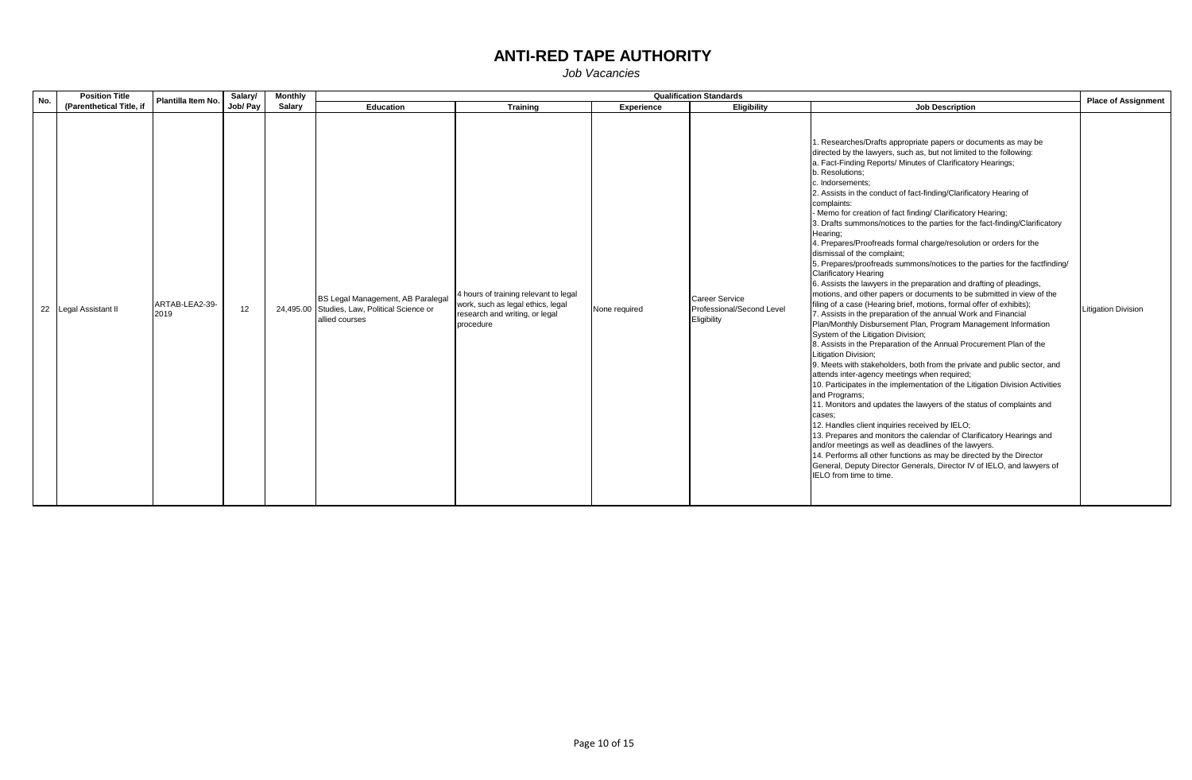| No. | <b>Position Title</b>    | Plantilla Item No.     | Salary/         | Monthly |                                                                                                     |                                                                                                                           |               | <b>Qualification Standards</b>                             |                                                                                                                                                                                                                                                                                                                                                                                                                                                                                                                                                                                                                                                                                                                                                                                                                                                                                                                                                                                                                                                                                                                                                                                                                                                                                                                                                                                                                                                                                                                                                                                                                                                                                                                                                                                                                                                                                             | <b>Place of Assignment</b> |
|-----|--------------------------|------------------------|-----------------|---------|-----------------------------------------------------------------------------------------------------|---------------------------------------------------------------------------------------------------------------------------|---------------|------------------------------------------------------------|---------------------------------------------------------------------------------------------------------------------------------------------------------------------------------------------------------------------------------------------------------------------------------------------------------------------------------------------------------------------------------------------------------------------------------------------------------------------------------------------------------------------------------------------------------------------------------------------------------------------------------------------------------------------------------------------------------------------------------------------------------------------------------------------------------------------------------------------------------------------------------------------------------------------------------------------------------------------------------------------------------------------------------------------------------------------------------------------------------------------------------------------------------------------------------------------------------------------------------------------------------------------------------------------------------------------------------------------------------------------------------------------------------------------------------------------------------------------------------------------------------------------------------------------------------------------------------------------------------------------------------------------------------------------------------------------------------------------------------------------------------------------------------------------------------------------------------------------------------------------------------------------|----------------------------|
|     | (Parenthetical Title, if |                        | Job/ Pay        | Salary  | Education                                                                                           | Training                                                                                                                  | Experience    | <b>Eligibility</b>                                         | <b>Job Description</b>                                                                                                                                                                                                                                                                                                                                                                                                                                                                                                                                                                                                                                                                                                                                                                                                                                                                                                                                                                                                                                                                                                                                                                                                                                                                                                                                                                                                                                                                                                                                                                                                                                                                                                                                                                                                                                                                      |                            |
|     | 22 Legal Assistant II    | ARTAB-LEA2-39-<br>2019 | 12 <sup>2</sup> |         | BS Legal Management, AB Paralegal<br>24,495.00 Studies, Law, Political Science or<br>allied courses | 4 hours of training relevant to legal<br>work, such as legal ethics, legal<br>research and writing, or legal<br>procedure | None required | Career Service<br>Professional/Second Level<br>Eligibility | 1. Researches/Drafts appropriate papers or documents as may be<br>directed by the lawyers, such as, but not limited to the following:<br>a. Fact-Finding Reports/ Minutes of Clarificatory Hearings;<br>b. Resolutions;<br>c. Indorsements:<br>2. Assists in the conduct of fact-finding/Clarificatory Hearing of<br>complaints:<br>- Memo for creation of fact finding/ Clarificatory Hearing;<br>3. Drafts summons/notices to the parties for the fact-finding/Clarificatory<br>Hearing:<br>4. Prepares/Proofreads formal charge/resolution or orders for the<br>dismissal of the complaint;<br>5. Prepares/proofreads summons/notices to the parties for the factfinding/<br><b>Clarificatory Hearing</b><br>6. Assists the lawyers in the preparation and drafting of pleadings,<br>motions, and other papers or documents to be submitted in view of the<br>filing of a case (Hearing brief, motions, formal offer of exhibits);<br>7. Assists in the preparation of the annual Work and Financial<br>Plan/Monthly Disbursement Plan, Program Management Information<br>System of the Litigation Division;<br>8. Assists in the Preparation of the Annual Procurement Plan of the<br>Litigation Division;<br>9. Meets with stakeholders, both from the private and public sector, and<br>attends inter-agency meetings when required;<br>10. Participates in the implementation of the Litigation Division Activities<br>and Programs;<br>11. Monitors and updates the lawyers of the status of complaints and<br>cases:<br>12. Handles client inquiries received by IELO;<br>13. Prepares and monitors the calendar of Clarificatory Hearings and<br>and/or meetings as well as deadlines of the lawyers.<br>14. Performs all other functions as may be directed by the Director<br>General, Deputy Director Generals, Director IV of IELO, and lawyers of<br>IELO from time to time. | <b>Litigation Division</b> |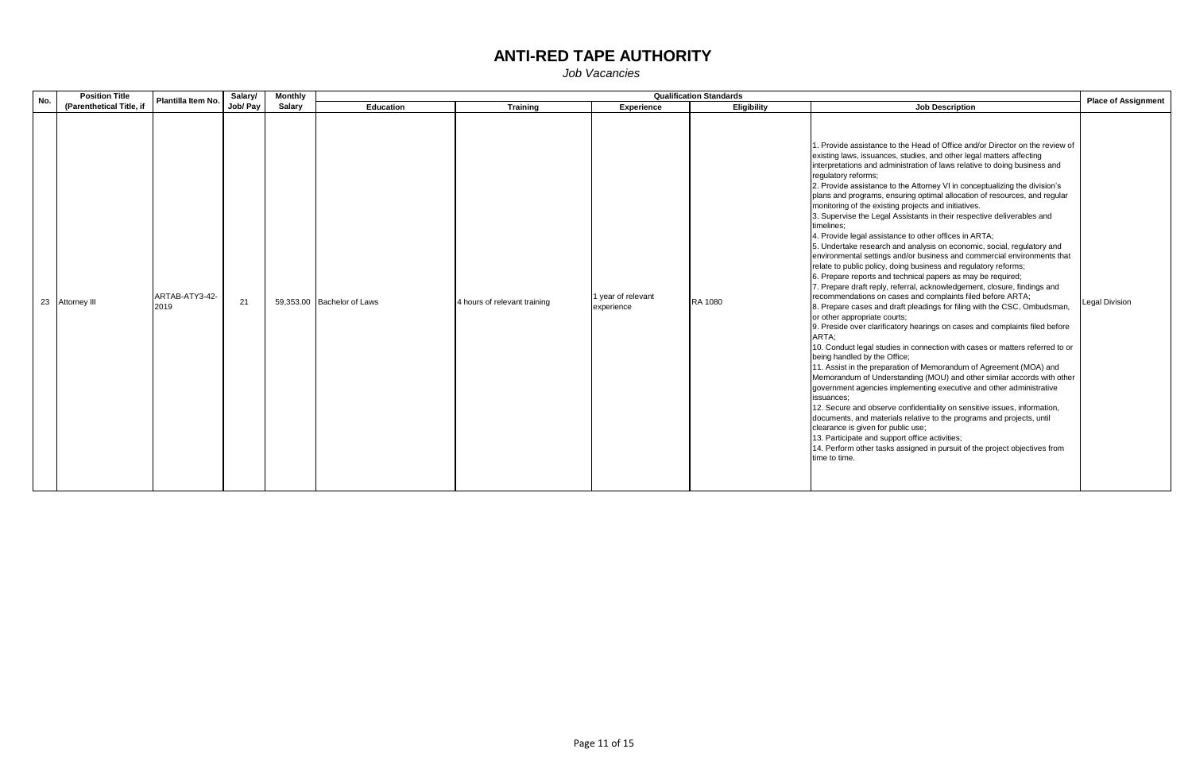| No. | <b>Position Title</b>    | Plantilla Item No.     | Salary/  | <b>Monthly</b> |                            |                              |                                  | <b>Qualification Standards</b> |                                                                                                                                                                                                                                                                                                                                                                                                                                                                                                                                                                                                                                                                                                                                                                                                                                                                                                                                                                                                                                                                                                                                                                                                                                                                                                                                                                                                                                                                                                                                                                                                                                                                                                                                                                                                                                                                                                                                                                    | <b>Place of Assignment</b> |
|-----|--------------------------|------------------------|----------|----------------|----------------------------|------------------------------|----------------------------------|--------------------------------|--------------------------------------------------------------------------------------------------------------------------------------------------------------------------------------------------------------------------------------------------------------------------------------------------------------------------------------------------------------------------------------------------------------------------------------------------------------------------------------------------------------------------------------------------------------------------------------------------------------------------------------------------------------------------------------------------------------------------------------------------------------------------------------------------------------------------------------------------------------------------------------------------------------------------------------------------------------------------------------------------------------------------------------------------------------------------------------------------------------------------------------------------------------------------------------------------------------------------------------------------------------------------------------------------------------------------------------------------------------------------------------------------------------------------------------------------------------------------------------------------------------------------------------------------------------------------------------------------------------------------------------------------------------------------------------------------------------------------------------------------------------------------------------------------------------------------------------------------------------------------------------------------------------------------------------------------------------------|----------------------------|
|     | (Parenthetical Title, if |                        | Job/ Pay | Salary         | Education                  | <b>Training</b>              | Experience                       | Eligibility                    | <b>Job Description</b>                                                                                                                                                                                                                                                                                                                                                                                                                                                                                                                                                                                                                                                                                                                                                                                                                                                                                                                                                                                                                                                                                                                                                                                                                                                                                                                                                                                                                                                                                                                                                                                                                                                                                                                                                                                                                                                                                                                                             |                            |
|     | 23 Attorney III          | ARTAB-ATY3-42-<br>2019 | 21       |                | 59,353.00 Bachelor of Laws | 4 hours of relevant training | 1 year of relevant<br>experience | RA 1080                        | 1. Provide assistance to the Head of Office and/or Director on the review of<br>existing laws, issuances, studies, and other legal matters affecting<br>interpretations and administration of laws relative to doing business and<br>requlatory reforms;<br>2. Provide assistance to the Attorney VI in conceptualizing the division's<br>plans and programs, ensuring optimal allocation of resources, and regular<br>monitoring of the existing projects and initiatives.<br>3. Supervise the Legal Assistants in their respective deliverables and<br>timelines:<br>4. Provide legal assistance to other offices in ARTA;<br>5. Undertake research and analysis on economic, social, regulatory and<br>environmental settings and/or business and commercial environments that<br>relate to public policy, doing business and regulatory reforms;<br>6. Prepare reports and technical papers as may be required;<br>7. Prepare draft reply, referral, acknowledgement, closure, findings and<br>recommendations on cases and complaints filed before ARTA;<br>8. Prepare cases and draft pleadings for filing with the CSC, Ombudsman,<br>or other appropriate courts;<br>9. Preside over clarificatory hearings on cases and complaints filed before<br>ARTA:<br>10. Conduct legal studies in connection with cases or matters referred to or<br>being handled by the Office;<br>11. Assist in the preparation of Memorandum of Agreement (MOA) and<br>Memorandum of Understanding (MOU) and other similar accords with other<br>government agencies implementing executive and other administrative<br>issuances:<br>12. Secure and observe confidentiality on sensitive issues, information,<br>documents, and materials relative to the programs and projects, until<br>clearance is given for public use;<br>13. Participate and support office activities;<br>14. Perform other tasks assigned in pursuit of the project objectives from<br>time to time. | <b>Legal Division</b>      |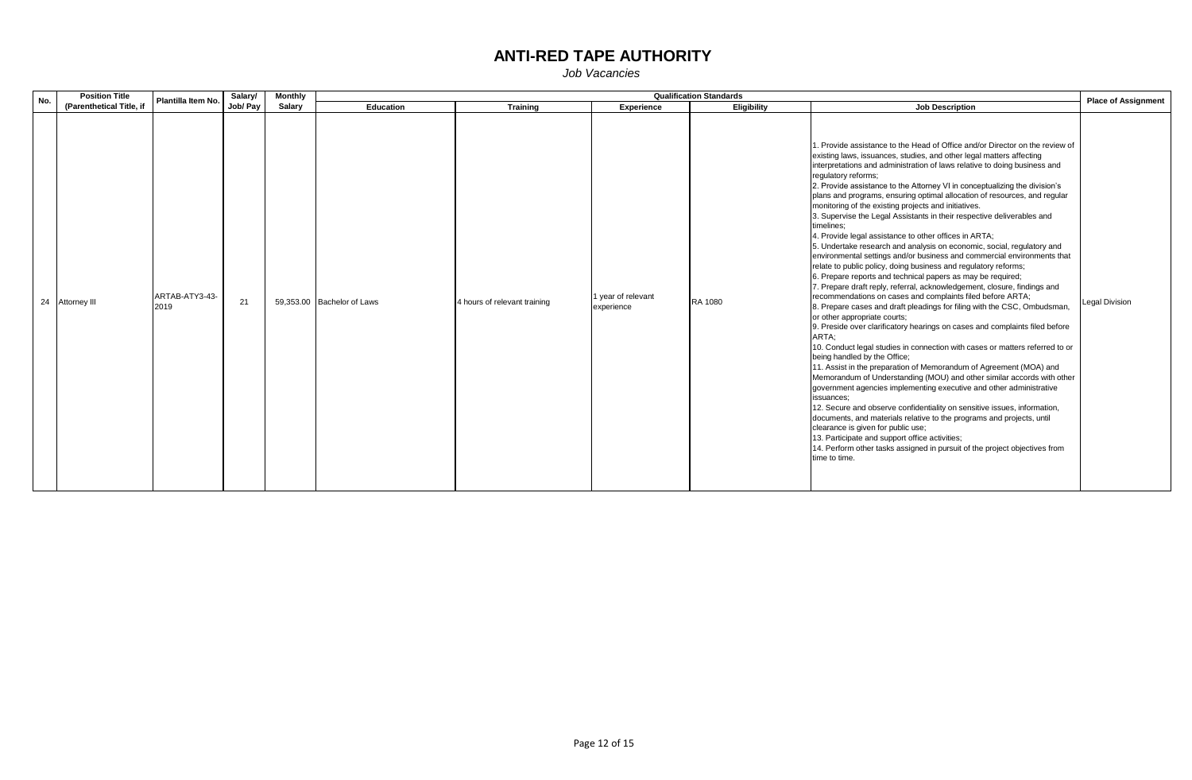| No. | <b>Position Title</b>    | Plantilla Item No. | Salary/  | <b>Monthly</b> |                            |                              |                                  | <b>Qualification Standards</b> |                                                                                                                                                                                                                                                                                                                                                                                                                                                                                                                                                                                                                                                                                                                                                                                                                                                                                                                                                                                                                                                                                                                                                                                                                                                                                                                                                                                                                                                                                                                                                                                                                                                                                                                                                                                                                                                                                                                                                                    | <b>Place of Assignment</b> |
|-----|--------------------------|--------------------|----------|----------------|----------------------------|------------------------------|----------------------------------|--------------------------------|--------------------------------------------------------------------------------------------------------------------------------------------------------------------------------------------------------------------------------------------------------------------------------------------------------------------------------------------------------------------------------------------------------------------------------------------------------------------------------------------------------------------------------------------------------------------------------------------------------------------------------------------------------------------------------------------------------------------------------------------------------------------------------------------------------------------------------------------------------------------------------------------------------------------------------------------------------------------------------------------------------------------------------------------------------------------------------------------------------------------------------------------------------------------------------------------------------------------------------------------------------------------------------------------------------------------------------------------------------------------------------------------------------------------------------------------------------------------------------------------------------------------------------------------------------------------------------------------------------------------------------------------------------------------------------------------------------------------------------------------------------------------------------------------------------------------------------------------------------------------------------------------------------------------------------------------------------------------|----------------------------|
|     | (Parenthetical Title, if |                    | Job/ Pay | Salary         | Education                  | <b>Training</b>              | Experience                       | Eligibility                    | <b>Job Description</b>                                                                                                                                                                                                                                                                                                                                                                                                                                                                                                                                                                                                                                                                                                                                                                                                                                                                                                                                                                                                                                                                                                                                                                                                                                                                                                                                                                                                                                                                                                                                                                                                                                                                                                                                                                                                                                                                                                                                             |                            |
|     | 24 Attorney III<br>2019  | ARTAB-ATY3-43-     | 21       |                | 59,353.00 Bachelor of Laws | 4 hours of relevant training | 1 year of relevant<br>experience | RA 1080                        | 1. Provide assistance to the Head of Office and/or Director on the review of<br>existing laws, issuances, studies, and other legal matters affecting<br>interpretations and administration of laws relative to doing business and<br>requlatory reforms;<br>2. Provide assistance to the Attorney VI in conceptualizing the division's<br>plans and programs, ensuring optimal allocation of resources, and regular<br>monitoring of the existing projects and initiatives.<br>3. Supervise the Legal Assistants in their respective deliverables and<br>timelines:<br>4. Provide legal assistance to other offices in ARTA;<br>5. Undertake research and analysis on economic, social, regulatory and<br>environmental settings and/or business and commercial environments that<br>relate to public policy, doing business and regulatory reforms;<br>6. Prepare reports and technical papers as may be required;<br>7. Prepare draft reply, referral, acknowledgement, closure, findings and<br>recommendations on cases and complaints filed before ARTA;<br>8. Prepare cases and draft pleadings for filing with the CSC, Ombudsman,<br>or other appropriate courts;<br>9. Preside over clarificatory hearings on cases and complaints filed before<br>ARTA:<br>10. Conduct legal studies in connection with cases or matters referred to or<br>being handled by the Office;<br>11. Assist in the preparation of Memorandum of Agreement (MOA) and<br>Memorandum of Understanding (MOU) and other similar accords with other<br>government agencies implementing executive and other administrative<br>issuances:<br>12. Secure and observe confidentiality on sensitive issues, information,<br>documents, and materials relative to the programs and projects, until<br>clearance is given for public use;<br>13. Participate and support office activities;<br>14. Perform other tasks assigned in pursuit of the project objectives from<br>time to time. | <b>Legal Division</b>      |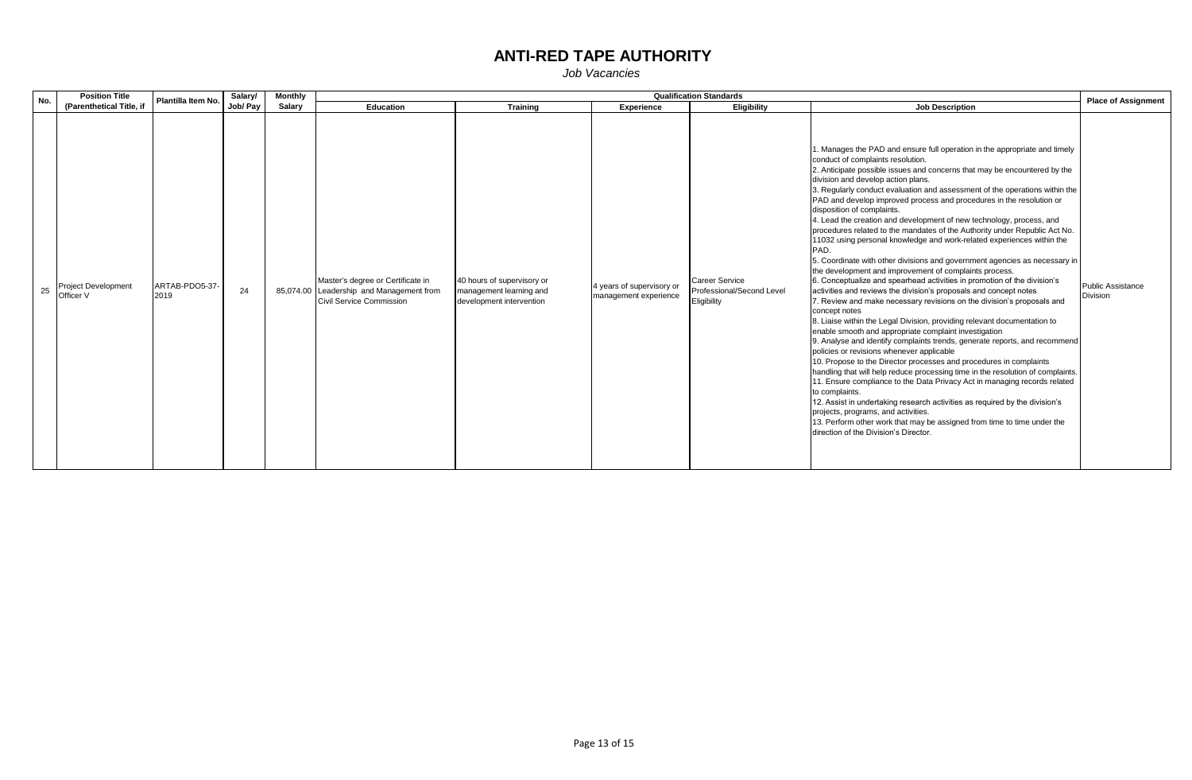| No. | <b>Position Title</b><br>(Parenthetical Title, if | Plantilla Item No.     | Salary/  | Monthly       | <b>Qualification Standards</b>                                                                                   |                                                                                   |                                                    |                                                            |                                                                                                                                                                                                                                                                                                                                                                                                                                                                                                                                                                                                                                                                                                                                                                                                                                                                                                                                                                                                                                                                                                                                                                                                                                                                                                                                                                                                                                                                                                                                                                                                                                                                                                                                                                                                                       | <b>Place of Assignment</b>           |
|-----|---------------------------------------------------|------------------------|----------|---------------|------------------------------------------------------------------------------------------------------------------|-----------------------------------------------------------------------------------|----------------------------------------------------|------------------------------------------------------------|-----------------------------------------------------------------------------------------------------------------------------------------------------------------------------------------------------------------------------------------------------------------------------------------------------------------------------------------------------------------------------------------------------------------------------------------------------------------------------------------------------------------------------------------------------------------------------------------------------------------------------------------------------------------------------------------------------------------------------------------------------------------------------------------------------------------------------------------------------------------------------------------------------------------------------------------------------------------------------------------------------------------------------------------------------------------------------------------------------------------------------------------------------------------------------------------------------------------------------------------------------------------------------------------------------------------------------------------------------------------------------------------------------------------------------------------------------------------------------------------------------------------------------------------------------------------------------------------------------------------------------------------------------------------------------------------------------------------------------------------------------------------------------------------------------------------------|--------------------------------------|
|     |                                                   |                        | Job/ Pay | <b>Salary</b> | Education                                                                                                        | <b>Training</b>                                                                   | <b>Experience</b>                                  | <b>Eligibility</b>                                         | <b>Job Description</b>                                                                                                                                                                                                                                                                                                                                                                                                                                                                                                                                                                                                                                                                                                                                                                                                                                                                                                                                                                                                                                                                                                                                                                                                                                                                                                                                                                                                                                                                                                                                                                                                                                                                                                                                                                                                |                                      |
| 25  | <b>Project Development</b><br>Officer V           | ARTAB-PDO5-37-<br>2019 | 24       |               | Master's degree or Certificate in<br>85,074.00 Leadership and Management from<br><b>Civil Service Commission</b> | 40 hours of supervisory or<br>management learning and<br>development intervention | 4 years of supervisory or<br>management experience | Career Service<br>Professional/Second Level<br>Eligibility | 1. Manages the PAD and ensure full operation in the appropriate and timely<br>conduct of complaints resolution.<br>2. Anticipate possible issues and concerns that may be encountered by the<br>division and develop action plans.<br>3. Regularly conduct evaluation and assessment of the operations within the<br>PAD and develop improved process and procedures in the resolution or<br>disposition of complaints.<br>4. Lead the creation and development of new technology, process, and<br>procedures related to the mandates of the Authority under Republic Act No.<br>11032 using personal knowledge and work-related experiences within the<br>PAD.<br>5. Coordinate with other divisions and government agencies as necessary in<br>the development and improvement of complaints process.<br>6. Conceptualize and spearhead activities in promotion of the division's<br>activities and reviews the division's proposals and concept notes<br>7. Review and make necessary revisions on the division's proposals and<br>concept notes<br>8. Liaise within the Legal Division, providing relevant documentation to<br>enable smooth and appropriate complaint investigation<br>9. Analyse and identify complaints trends, generate reports, and recommend<br>policies or revisions whenever applicable<br>10. Propose to the Director processes and procedures in complaints<br>handling that will help reduce processing time in the resolution of complaints.<br>11. Ensure compliance to the Data Privacy Act in managing records related<br>to complaints.<br>12. Assist in undertaking research activities as required by the division's<br>projects, programs, and activities.<br>13. Perform other work that may be assigned from time to time under the<br>direction of the Division's Director. | <b>Public Assistance</b><br>Division |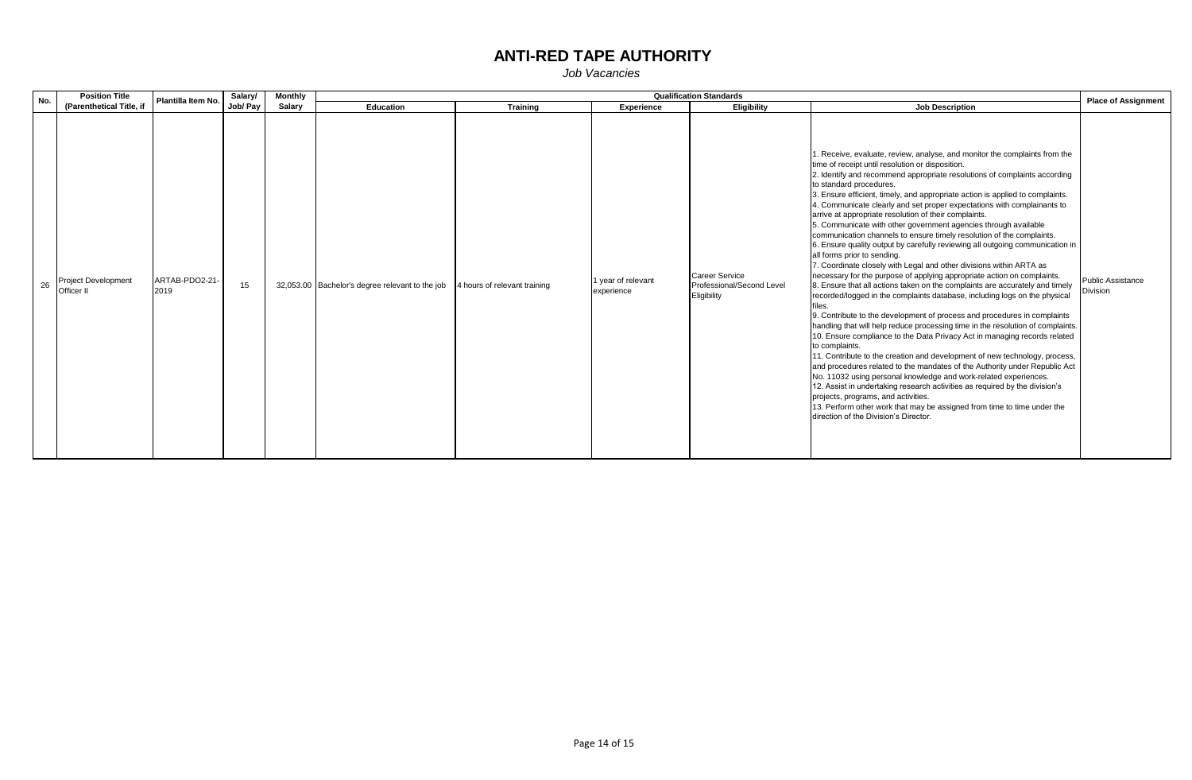| No. | <b>Position Title</b>                    | <b>Qualification Standards</b><br>Salary/<br><b>Monthly</b><br>Plantilla Item No. |          |        |                                                 |                              |                                  |                                                                   | <b>Place of Assignment</b>                                                                                                                                                                                                                                                                                                                                                                                                                                                                                                                                                                                                                                                                                                                                                                                                                                                                                                                                                                                                                                                                                                                                                                                                                                                                                                                                                                                                                                                                                                                                                                                                                                                                                                                                                      |                                             |
|-----|------------------------------------------|-----------------------------------------------------------------------------------|----------|--------|-------------------------------------------------|------------------------------|----------------------------------|-------------------------------------------------------------------|---------------------------------------------------------------------------------------------------------------------------------------------------------------------------------------------------------------------------------------------------------------------------------------------------------------------------------------------------------------------------------------------------------------------------------------------------------------------------------------------------------------------------------------------------------------------------------------------------------------------------------------------------------------------------------------------------------------------------------------------------------------------------------------------------------------------------------------------------------------------------------------------------------------------------------------------------------------------------------------------------------------------------------------------------------------------------------------------------------------------------------------------------------------------------------------------------------------------------------------------------------------------------------------------------------------------------------------------------------------------------------------------------------------------------------------------------------------------------------------------------------------------------------------------------------------------------------------------------------------------------------------------------------------------------------------------------------------------------------------------------------------------------------|---------------------------------------------|
|     | (Parenthetical Title, if                 |                                                                                   | Job/ Pay | Salary | Education                                       | <b>Training</b>              | <b>Experience</b>                | Eligibility                                                       | <b>Job Description</b>                                                                                                                                                                                                                                                                                                                                                                                                                                                                                                                                                                                                                                                                                                                                                                                                                                                                                                                                                                                                                                                                                                                                                                                                                                                                                                                                                                                                                                                                                                                                                                                                                                                                                                                                                          |                                             |
| 26  | <b>Project Development</b><br>Officer II | ARTAB-PDO2-21-<br>2019                                                            | 15       |        | 32,053.00 Bachelor's degree relevant to the job | 4 hours of relevant training | 1 year of relevant<br>experience | <b>Career Service</b><br>Professional/Second Level<br>Eligibility | 1. Receive, evaluate, review, analyse, and monitor the complaints from the<br>time of receipt until resolution or disposition.<br>2. Identify and recommend appropriate resolutions of complaints according<br>to standard procedures.<br>3. Ensure efficient, timely, and appropriate action is applied to complaints.<br>4. Communicate clearly and set proper expectations with complainants to<br>arrive at appropriate resolution of their complaints.<br>5. Communicate with other government agencies through available<br>communication channels to ensure timely resolution of the complaints.<br>6. Ensure quality output by carefully reviewing all outgoing communication in<br>all forms prior to sending.<br>7. Coordinate closely with Legal and other divisions within ARTA as<br>necessary for the purpose of applying appropriate action on complaints.<br>8. Ensure that all actions taken on the complaints are accurately and timely<br>recorded/logged in the complaints database, including logs on the physical<br>9. Contribute to the development of process and procedures in complaints<br>handling that will help reduce processing time in the resolution of complaints.<br>10. Ensure compliance to the Data Privacy Act in managing records related<br>to complaints.<br>11. Contribute to the creation and development of new technology, process,<br>and procedures related to the mandates of the Authority under Republic Act<br>No. 11032 using personal knowledge and work-related experiences.<br>12. Assist in undertaking research activities as required by the division's<br>projects, programs, and activities.<br>13. Perform other work that may be assigned from time to time under the<br>direction of the Division's Director. | <b>Public Assistance</b><br><b>Division</b> |